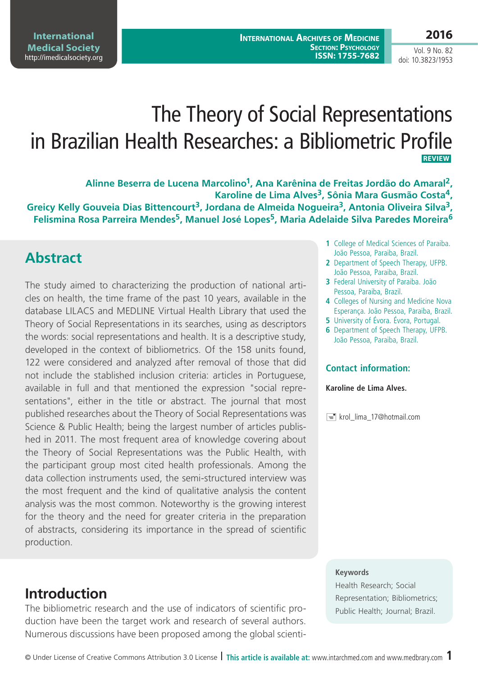#### **2016**

Vol. 9 No. 82 doi: 10.3823/1953

# The Theory of Social Representations in Brazilian Health Researches: a Bibliometric Profile **Review**

**Alinne Beserra de Lucena Marcolino1, Ana Karênina de Freitas Jordão do Amaral2,**  Karoline de Lima Alves<sup>3</sup>, Sônia Mara Gusmão Costa<sup>4</sup>, **Greicy Kelly Gouveia Dias Bittencourt3, Jordana de Almeida Nogueira3, Antonia Oliveira Silva3, Felismina Rosa Parreira Mendes5, Manuel José Lopes5, Maria Adelaide Silva Paredes Moreira6**

# **Abstract**

The study aimed to characterizing the production of national articles on health, the time frame of the past 10 years, available in the database LILACS and MEDLINE Virtual Health Library that used the Theory of Social Representations in its searches, using as descriptors the words: social representations and health. It is a descriptive study, developed in the context of bibliometrics. Of the 158 units found, 122 were considered and analyzed after removal of those that did not include the stablished inclusion criteria: articles in Portuguese, available in full and that mentioned the expression "social representations", either in the title or abstract. The journal that most published researches about the Theory of Social Representations was Science & Public Health; being the largest number of articles published in 2011. The most frequent area of knowledge covering about the Theory of Social Representations was the Public Health, with the participant group most cited health professionals. Among the data collection instruments used, the semi-structured interview was the most frequent and the kind of qualitative analysis the content analysis was the most common. Noteworthy is the growing interest for the theory and the need for greater criteria in the preparation of abstracts, considering its importance in the spread of scientific production.

**Introduction** 

The bibliometric research and the use of indicators of scientific production have been the target work and research of several authors. Numerous discussions have been proposed among the global scienti-

- **1** College of Medical Sciences of Paraiba. João Pessoa, Paraiba, Brazil.
- **2** Department of Speech Therapy, UFPB. João Pessoa, Paraiba, Brazil.
- **3** Federal University of Paraiba. João Pessoa, Paraiba, Brazil.
- **4** Colleges of Nursing and Medicine Nova Esperança. João Pessoa, Paraiba, Brazil.
- **5** University of Évora. Évora, Portugal.
- **6** Department of Speech Therapy, UFPB. João Pessoa, Paraiba, Brazil.

#### **Contact information:**

**Karoline de Lima Alves.**

krol\_lima\_17@hotmail.com

#### **Keywords**

Health Research; Social Representation; Bibliometrics; Public Health; Journal; Brazil.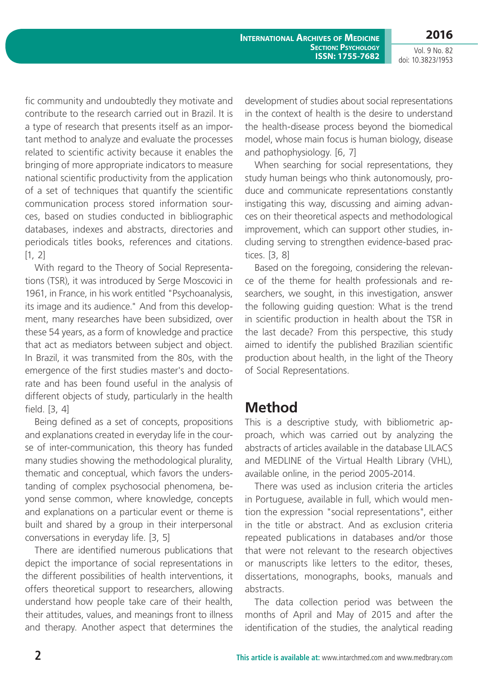**International Archives of Medicine Section: Psychology ISSN: 1755-7682**

**2016** Vol. 9 No. 82

doi: 10.3823/1953

fic community and undoubtedly they motivate and contribute to the research carried out in Brazil. It is a type of research that presents itself as an important method to analyze and evaluate the processes related to scientific activity because it enables the bringing of more appropriate indicators to measure national scientific productivity from the application of a set of techniques that quantify the scientific communication process stored information sources, based on studies conducted in bibliographic databases, indexes and abstracts, directories and periodicals titles books, references and citations.  $[1, 2]$ 

With regard to the Theory of Social Representations (TSR), it was introduced by Serge Moscovici in 1961, in France, in his work entitled "Psychoanalysis, its image and its audience." And from this development, many researches have been subsidized, over these 54 years, as a form of knowledge and practice that act as mediators between subject and object. In Brazil, it was transmited from the 80s, with the emergence of the first studies master's and doctorate and has been found useful in the analysis of different objects of study, particularly in the health field. [3, 4]

Being defined as a set of concepts, propositions and explanations created in everyday life in the course of inter-communication, this theory has funded many studies showing the methodological plurality, thematic and conceptual, which favors the understanding of complex psychosocial phenomena, beyond sense common, where knowledge, concepts and explanations on a particular event or theme is built and shared by a group in their interpersonal conversations in everyday life. [3, 5]

There are identified numerous publications that depict the importance of social representations in the different possibilities of health interventions, it offers theoretical support to researchers, allowing understand how people take care of their health, their attitudes, values, and meanings front to illness and therapy. Another aspect that determines the development of studies about social representations in the context of health is the desire to understand the health-disease process beyond the biomedical model, whose main focus is human biology, disease and pathophysiology. [6, 7]

When searching for social representations, they study human beings who think autonomously, produce and communicate representations constantly instigating this way, discussing and aiming advances on their theoretical aspects and methodological improvement, which can support other studies, including serving to strengthen evidence-based practices. [3, 8]

Based on the foregoing, considering the relevance of the theme for health professionals and researchers, we sought, in this investigation, answer the following guiding question: What is the trend in scientific production in health about the TSR in the last decade? From this perspective, this study aimed to identify the published Brazilian scientific production about health, in the light of the Theory of Social Representations.

### **Method**

This is a descriptive study, with bibliometric approach, which was carried out by analyzing the abstracts of articles available in the database LILACS and MEDLINE of the Virtual Health Library (VHL), available online, in the period 2005-2014.

There was used as inclusion criteria the articles in Portuguese, available in full, which would mention the expression "social representations", either in the title or abstract. And as exclusion criteria repeated publications in databases and/or those that were not relevant to the research objectives or manuscripts like letters to the editor, theses, dissertations, monographs, books, manuals and abstracts.

The data collection period was between the months of April and May of 2015 and after the identification of the studies, the analytical reading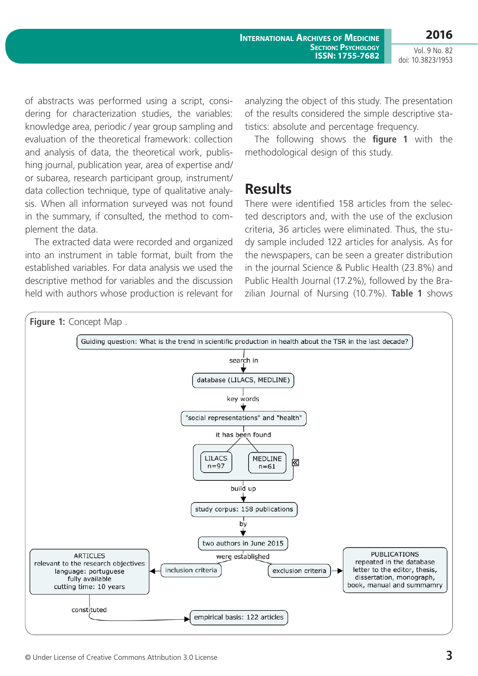Vol. 9 No. 82 doi: 10.3823/1953

of abstracts was performed using a script, considering for characterization studies, the variables: knowledge area, periodic / year group sampling and evaluation of the theoretical framework: collection and analysis of data, the theoretical work, publishing journal, publication year, area of expertise and/ or subarea, research participant group, instrument/ data collection technique, type of qualitative analysis. When all information surveyed was not found in the summary, if consulted, the method to complement the data.

The extracted data were recorded and organized into an instrument in table format, built from the established variables. For data analysis we used the descriptive method for variables and the discussion held with authors whose production is relevant for analyzing the object of this study. The presentation of the results considered the simple descriptive statistics: absolute and percentage frequency.

The following shows the **figure 1** with the methodological design of this study.

### **Results**

There were identified 158 articles from the selected descriptors and, with the use of the exclusion criteria, 36 articles were eliminated. Thus, the study sample included 122 articles for analysis. As for the newspapers, can be seen a greater distribution in the journal Science & Public Health (23.8%) and Public Health Journal (17.2%), followed by the Brazilian Journal of Nursing (10.7%). **Table 1** shows

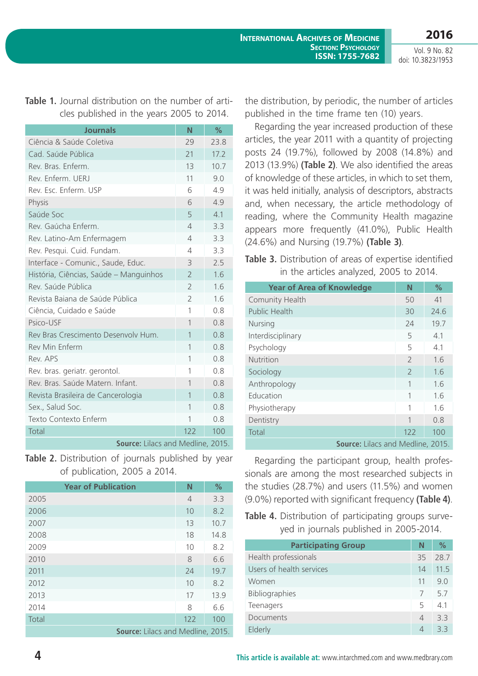**2016** Vol. 9 No. 82

doi: 10.3823/1953

#### **Table 1.** Journal distribution on the number of articles published in the years 2005 to 2014.

| <b>Journals</b>                        | N              | $\%$ |
|----------------------------------------|----------------|------|
| Ciência & Saúde Coletiva               | 29             | 23.8 |
| Cad. Saúde Pública                     | 21             | 17.2 |
| Rev. Bras. Enferm.                     | 13             | 10.7 |
| Rev. Enferm, UFRJ                      | 11             | 9.0  |
| Rev. Esc. Enferm, USP                  | 6              | 4.9  |
| Physis                                 | 6              | 4.9  |
| Saúde Soc                              | 5              | 4.1  |
| Rev. Gaúcha Enferm.                    | $\overline{4}$ | 3.3  |
| Rev. Latino-Am Enfermagem              | $\overline{4}$ | 3.3  |
| Rev. Pesqui. Cuid. Fundam.             | 4              | 3.3  |
| Interface - Comunic., Saude, Educ.     | 3              | 2.5  |
| História, Ciências, Saúde - Manguinhos | $\overline{2}$ | 1.6  |
| Rev. Saúde Pública                     | $\overline{2}$ | 1.6  |
| Revista Baiana de Saúde Pública        | $\overline{2}$ | 1.6  |
| Ciência, Cuidado e Saúde               | 1              | 0.8  |
| Psico-USF                              | 1              | 0.8  |
| Rev Bras Crescimento Desenvoly Hum.    | 1              | 0.8  |
| <b>Rev Min Enferm</b>                  | 1              | 0.8  |
| Rev. APS                               | 1              | 0.8  |
| Rev. bras. geriatr. gerontol.          | 1              | 0.8  |
| Rev. Bras. Saúde Matern. Infant.       | $\mathbf{1}$   | 0.8  |
| Revista Brasileira de Cancerologia     | $\mathbf{1}$   | 0.8  |
| Sex., Salud Soc.                       | 1              | 0.8  |
| Texto Contexto Enferm                  | 1              | 0.8  |
| Total                                  | 122            | 100  |
| Source: Lilacs and Medline, 2015.      |                |      |

**Table 2.** Distribution of journals published by year of publication, 2005 a 2014.

| <b>Year of Publication</b>               | N              | %    |
|------------------------------------------|----------------|------|
| 2005                                     | $\overline{4}$ | 3.3  |
| 2006                                     | 10             | 8.2  |
| 2007                                     | 13             | 10.7 |
| 2008                                     | 18             | 14.8 |
| 2009                                     | 10             | 8.2  |
| 2010                                     | 8              | 6.6  |
| 2011                                     | 24             | 19.7 |
| 2012                                     | 10             | 8.2  |
| 2013                                     | 17             | 13.9 |
| 2014                                     | 8              | 6.6  |
| Total                                    | 122            | 100  |
| <b>Source:</b> Lilacs and Medline, 2015. |                |      |

the distribution, by periodic, the number of articles published in the time frame ten (10) years.

Regarding the year increased production of these articles, the year 2011 with a quantity of projecting posts 24 (19.7%), followed by 2008 (14.8%) and 2013 (13.9%) **(Table 2)**. We also identified the areas of knowledge of these articles, in which to set them, it was held initially, analysis of descriptors, abstracts and, when necessary, the article methodology of reading, where the Community Health magazine appears more frequently (41.0%), Public Health (24.6%) and Nursing (19.7%) **(Table 3)**.

**Table 3.** Distribution of areas of expertise identified in the articles analyzed, 2005 to 2014.

| <b>Year of Area of Knowledge</b>  | N                        | $\%$ |
|-----------------------------------|--------------------------|------|
| Comunity Health                   | 50                       | 41   |
| <b>Public Health</b>              | 30                       | 24.6 |
| Nursing                           | 24                       | 19.7 |
| Interdisciplinary                 | 5                        | 4.1  |
| Psychology                        | 5                        | 4.1  |
| <b>Nutrition</b>                  | $\overline{\phantom{0}}$ | 1.6  |
| Sociology                         | $\mathcal{P}$            | 1.6  |
| Anthropology                      | 1                        | 1.6  |
| Education                         | 1                        | 1.6  |
| Physiotherapy                     | 1                        | 1.6  |
| Dentistry                         | 1                        | 0.8  |
| Total                             | 122                      | 100  |
| Source: Lilacs and Medline, 2015. |                          |      |

Regarding the participant group, health professionals are among the most researched subjects in the studies (28.7%) and users (11.5%) and women (9.0%) reported with significant frequency **(Table 4)**.

**Table 4.** Distribution of participating groups surveyed in journals published in 2005-2014.

| <b>Participating Group</b> | N  | $\%$ |
|----------------------------|----|------|
| Health professionals       | 35 | 28.7 |
| Users of health services   | 14 | 11.5 |
| Women                      | 11 | 9.0  |
| Bibliographies             |    | 5.7  |
| Teenagers                  | 5  | 41   |
| Documents                  | 4  | 33   |
| Elderly                    | 4  | 33   |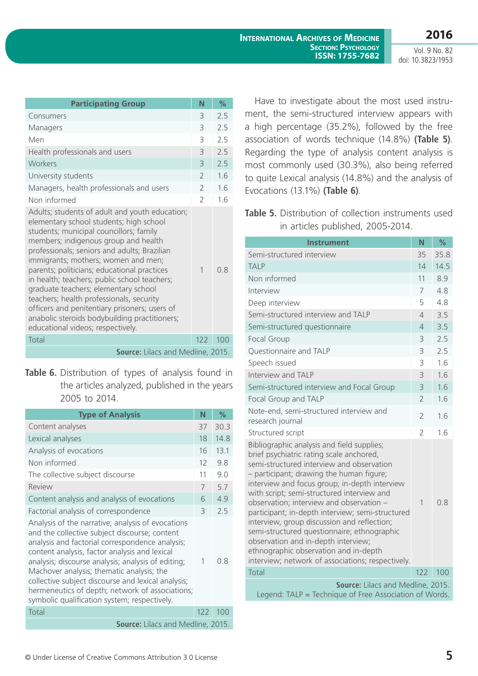Vol. 9 No. 82 doi: 10.3823/1953

| <b>Participating Group</b>                                                                                                                                                                                                                                                                                                                                                                                                                                                                                                                                                                    | N                        | $\%$ |
|-----------------------------------------------------------------------------------------------------------------------------------------------------------------------------------------------------------------------------------------------------------------------------------------------------------------------------------------------------------------------------------------------------------------------------------------------------------------------------------------------------------------------------------------------------------------------------------------------|--------------------------|------|
| Consumers                                                                                                                                                                                                                                                                                                                                                                                                                                                                                                                                                                                     | 3                        | 2.5  |
| Managers                                                                                                                                                                                                                                                                                                                                                                                                                                                                                                                                                                                      | 3                        | 2.5  |
| Men                                                                                                                                                                                                                                                                                                                                                                                                                                                                                                                                                                                           | 3                        | 2.5  |
| Health professionals and users                                                                                                                                                                                                                                                                                                                                                                                                                                                                                                                                                                | 3                        | 2.5  |
| Workers                                                                                                                                                                                                                                                                                                                                                                                                                                                                                                                                                                                       | 3                        | 2.5  |
| University students                                                                                                                                                                                                                                                                                                                                                                                                                                                                                                                                                                           | $\overline{\phantom{0}}$ | 1.6  |
| Managers, health professionals and users                                                                                                                                                                                                                                                                                                                                                                                                                                                                                                                                                      | $\mathfrak{D}$           | 1.6  |
| Non informed                                                                                                                                                                                                                                                                                                                                                                                                                                                                                                                                                                                  | $\mathcal{P}$            | 1.6  |
| Adults; students of adult and youth education;<br>elementary school students; high school<br>students; municipal councillors; family<br>members; indigenous group and health<br>professionals; seniors and adults; Brazilian<br>immigrants; mothers; women and men;<br>parents; politicians; educational practices<br>in health; teachers; public school teachers;<br>graduate teachers; elementary school<br>teachers; health professionals, security<br>officers and penitentiary prisoners; users of<br>anabolic steroids bodybuilding practitioners;<br>educational videos; respectively. | 1                        | 0.8  |
| Total                                                                                                                                                                                                                                                                                                                                                                                                                                                                                                                                                                                         | 122                      | 100  |
| Source: Lilacs and Medline, 2015.                                                                                                                                                                                                                                                                                                                                                                                                                                                                                                                                                             |                          |      |

**Table 6.** Distribution of types of analysis found in the articles analyzed, published in the years 2005 to 2014.

| <b>Type of Analysis</b>                                                                                                                                                                                                                                                                                                                                                                                                                                            | N   | $\%$ |
|--------------------------------------------------------------------------------------------------------------------------------------------------------------------------------------------------------------------------------------------------------------------------------------------------------------------------------------------------------------------------------------------------------------------------------------------------------------------|-----|------|
| Content analyses                                                                                                                                                                                                                                                                                                                                                                                                                                                   | 37  | 30.3 |
| Lexical analyses                                                                                                                                                                                                                                                                                                                                                                                                                                                   | 18  | 14.8 |
| Analysis of evocations                                                                                                                                                                                                                                                                                                                                                                                                                                             | 16  | 13.1 |
| Non informed                                                                                                                                                                                                                                                                                                                                                                                                                                                       | 12  | 9.8  |
| The collective subject discourse                                                                                                                                                                                                                                                                                                                                                                                                                                   | 11  | 9.0  |
| Review                                                                                                                                                                                                                                                                                                                                                                                                                                                             | 7   | 5.7  |
| Content analysis and analysis of evocations                                                                                                                                                                                                                                                                                                                                                                                                                        | 6   | 4.9  |
| Factorial analysis of correspondence                                                                                                                                                                                                                                                                                                                                                                                                                               | 3   | 2.5  |
| Analysis of the narrative; analysis of evocations<br>and the collective subject discourse; content<br>analysis and factorial correspondence analysis;<br>content analysis, factor analysis and lexical<br>analysis; discourse analysis; analysis of editing;<br>Machover analysis; thematic analysis; the<br>collective subject discourse and lexical analysis;<br>hermeneutics of depth; network of associations;<br>symbolic qualification system; respectively. | 1   | 0 R  |
| Total                                                                                                                                                                                                                                                                                                                                                                                                                                                              | 122 | 100  |
| Source: Lilacs and Medline, 2015.                                                                                                                                                                                                                                                                                                                                                                                                                                  |     |      |

Have to investigate about the most used instrument, the semi-structured interview appears with a high percentage (35.2%), followed by the free association of words technique (14.8%) **(Table 5)**. Regarding the type of analysis content analysis is most commonly used (30.3%), also being referred to quite Lexical analysis (14.8%) and the analysis of Evocations (13.1%) **(Table 6)**.

**Table 5.** Distribution of collection instruments used in articles published, 2005-2014.

| <b>Instrument</b>                                                                                                                                                                                                                                                                                                                                                                                                                                                                                                                                                                                                 | N              | %    |
|-------------------------------------------------------------------------------------------------------------------------------------------------------------------------------------------------------------------------------------------------------------------------------------------------------------------------------------------------------------------------------------------------------------------------------------------------------------------------------------------------------------------------------------------------------------------------------------------------------------------|----------------|------|
| Semi-structured interview                                                                                                                                                                                                                                                                                                                                                                                                                                                                                                                                                                                         | 35             | 35.8 |
| <b>TALP</b>                                                                                                                                                                                                                                                                                                                                                                                                                                                                                                                                                                                                       | 14             | 14.5 |
| Non informed                                                                                                                                                                                                                                                                                                                                                                                                                                                                                                                                                                                                      | 11             | 8.9  |
| Interview                                                                                                                                                                                                                                                                                                                                                                                                                                                                                                                                                                                                         | $\overline{7}$ | 4.8  |
| Deep interview                                                                                                                                                                                                                                                                                                                                                                                                                                                                                                                                                                                                    | 5              | 4.8  |
| Semi-structured interview and TALP                                                                                                                                                                                                                                                                                                                                                                                                                                                                                                                                                                                | $\overline{4}$ | 3.5  |
| Semi-structured questionnaire                                                                                                                                                                                                                                                                                                                                                                                                                                                                                                                                                                                     | $\overline{4}$ | 3.5  |
| Focal Group                                                                                                                                                                                                                                                                                                                                                                                                                                                                                                                                                                                                       | 3              | 2.5  |
| Questionnaire and TALP                                                                                                                                                                                                                                                                                                                                                                                                                                                                                                                                                                                            | 3              | 2.5  |
| Speech issued                                                                                                                                                                                                                                                                                                                                                                                                                                                                                                                                                                                                     | 3              | 1.6  |
| Interview and TALP                                                                                                                                                                                                                                                                                                                                                                                                                                                                                                                                                                                                | 3              | 1.6  |
| Semi-structured interview and Focal Group                                                                                                                                                                                                                                                                                                                                                                                                                                                                                                                                                                         | 3              | 1.6  |
| Focal Group and TALP                                                                                                                                                                                                                                                                                                                                                                                                                                                                                                                                                                                              | $\overline{2}$ | 1.6  |
| Note-end, semi-structured interview and<br>research journal                                                                                                                                                                                                                                                                                                                                                                                                                                                                                                                                                       | $\overline{2}$ | 1.6  |
| Structured script                                                                                                                                                                                                                                                                                                                                                                                                                                                                                                                                                                                                 | $\overline{2}$ | 1.6  |
| Bibliographic analysis and field supplies;<br>brief psychiatric rating scale anchored,<br>semi-structured interview and observation<br>- participant; drawing the human figure;<br>interview and focus group; in-depth interview<br>with script; semi-structured interview and<br>observation; interview and observation -<br>participant; in-depth interview; semi-structured<br>interview, group discussion and reflection;<br>semi-structured questionnaire; ethnographic<br>observation and in-depth interview;<br>ethnographic observation and in-depth<br>interview; network of associations; respectively. | 1              | 0.8  |
| Total                                                                                                                                                                                                                                                                                                                                                                                                                                                                                                                                                                                                             | 122            | 100  |
| Source: Lilacs and Medline, 2015.<br>Legend: TALP = Technique of Free Association of Words.                                                                                                                                                                                                                                                                                                                                                                                                                                                                                                                       |                |      |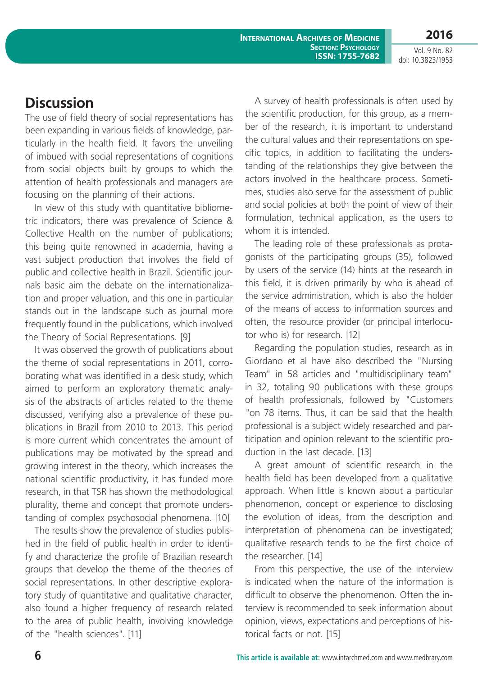**International Archives of Medicine Section: Psychology ISSN: 1755-7682**

Vol. 9 No. 82 doi: 10.3823/1953

**2016**

### **Discussion**

The use of field theory of social representations has been expanding in various fields of knowledge, particularly in the health field. It favors the unveiling of imbued with social representations of cognitions from social objects built by groups to which the attention of health professionals and managers are focusing on the planning of their actions.

In view of this study with quantitative bibliometric indicators, there was prevalence of Science & Collective Health on the number of publications; this being quite renowned in academia, having a vast subject production that involves the field of public and collective health in Brazil. Scientific journals basic aim the debate on the internationalization and proper valuation, and this one in particular stands out in the landscape such as journal more frequently found in the publications, which involved the Theory of Social Representations. [9]

It was observed the growth of publications about the theme of social representations in 2011, corroborating what was identified in a desk study, which aimed to perform an exploratory thematic analysis of the abstracts of articles related to the theme discussed, verifying also a prevalence of these publications in Brazil from 2010 to 2013. This period is more current which concentrates the amount of publications may be motivated by the spread and growing interest in the theory, which increases the national scientific productivity, it has funded more research, in that TSR has shown the methodological plurality, theme and concept that promote understanding of complex psychosocial phenomena. [10]

The results show the prevalence of studies published in the field of public health in order to identify and characterize the profile of Brazilian research groups that develop the theme of the theories of social representations. In other descriptive exploratory study of quantitative and qualitative character, also found a higher frequency of research related to the area of public health, involving knowledge of the "health sciences". [11]

A survey of health professionals is often used by the scientific production, for this group, as a member of the research, it is important to understand the cultural values and their representations on specific topics, in addition to facilitating the understanding of the relationships they give between the actors involved in the healthcare process. Sometimes, studies also serve for the assessment of public and social policies at both the point of view of their formulation, technical application, as the users to whom it is intended.

The leading role of these professionals as protagonists of the participating groups (35), followed by users of the service (14) hints at the research in this field, it is driven primarily by who is ahead of the service administration, which is also the holder of the means of access to information sources and often, the resource provider (or principal interlocutor who is) for research. [12]

Regarding the population studies, research as in Giordano et al have also described the "Nursing Team" in 58 articles and "multidisciplinary team" in 32, totaling 90 publications with these groups of health professionals, followed by "Customers "on 78 items. Thus, it can be said that the health professional is a subject widely researched and participation and opinion relevant to the scientific production in the last decade. [13]

A great amount of scientific research in the health field has been developed from a qualitative approach. When little is known about a particular phenomenon, concept or experience to disclosing the evolution of ideas, from the description and interpretation of phenomena can be investigated; qualitative research tends to be the first choice of the researcher. [14]

From this perspective, the use of the interview is indicated when the nature of the information is difficult to observe the phenomenon. Often the interview is recommended to seek information about opinion, views, expectations and perceptions of historical facts or not. [15]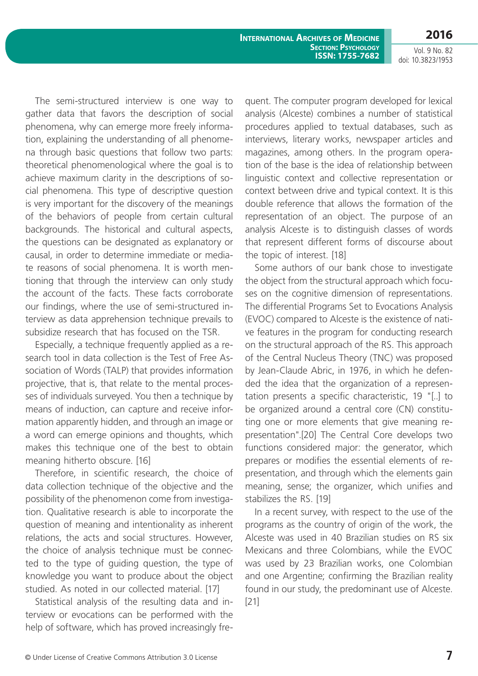Vol. 9 No. 82 doi: 10.3823/1953

The semi-structured interview is one way to gather data that favors the description of social phenomena, why can emerge more freely information, explaining the understanding of all phenomena through basic questions that follow two parts: theoretical phenomenological where the goal is to achieve maximum clarity in the descriptions of social phenomena. This type of descriptive question is very important for the discovery of the meanings of the behaviors of people from certain cultural backgrounds. The historical and cultural aspects, the questions can be designated as explanatory or causal, in order to determine immediate or mediate reasons of social phenomena. It is worth mentioning that through the interview can only study the account of the facts. These facts corroborate our findings, where the use of semi-structured interview as data apprehension technique prevails to subsidize research that has focused on the TSR.

Especially, a technique frequently applied as a research tool in data collection is the Test of Free Association of Words (TALP) that provides information projective, that is, that relate to the mental processes of individuals surveyed. You then a technique by means of induction, can capture and receive information apparently hidden, and through an image or a word can emerge opinions and thoughts, which makes this technique one of the best to obtain meaning hitherto obscure. [16]

Therefore, in scientific research, the choice of data collection technique of the objective and the possibility of the phenomenon come from investigation. Qualitative research is able to incorporate the question of meaning and intentionality as inherent relations, the acts and social structures. However, the choice of analysis technique must be connected to the type of guiding question, the type of knowledge you want to produce about the object studied. As noted in our collected material. [17]

Statistical analysis of the resulting data and interview or evocations can be performed with the help of software, which has proved increasingly frequent. The computer program developed for lexical analysis (Alceste) combines a number of statistical procedures applied to textual databases, such as interviews, literary works, newspaper articles and magazines, among others. In the program operation of the base is the idea of relationship between linguistic context and collective representation or context between drive and typical context. It is this double reference that allows the formation of the representation of an object. The purpose of an analysis Alceste is to distinguish classes of words that represent different forms of discourse about the topic of interest. [18]

Some authors of our bank chose to investigate the object from the structural approach which focuses on the cognitive dimension of representations. The differential Programs Set to Evocations Analysis (EVOC) compared to Alceste is the existence of native features in the program for conducting research on the structural approach of the RS. This approach of the Central Nucleus Theory (TNC) was proposed by Jean-Claude Abric, in 1976, in which he defended the idea that the organization of a representation presents a specific characteristic, 19 "[..] to be organized around a central core (CN) constituting one or more elements that give meaning representation".[20] The Central Core develops two functions considered major: the generator, which prepares or modifies the essential elements of representation, and through which the elements gain meaning, sense; the organizer, which unifies and stabilizes the RS. [19]

In a recent survey, with respect to the use of the programs as the country of origin of the work, the Alceste was used in 40 Brazilian studies on RS six Mexicans and three Colombians, while the EVOC was used by 23 Brazilian works, one Colombian and one Argentine; confirming the Brazilian reality found in our study, the predominant use of Alceste. [21]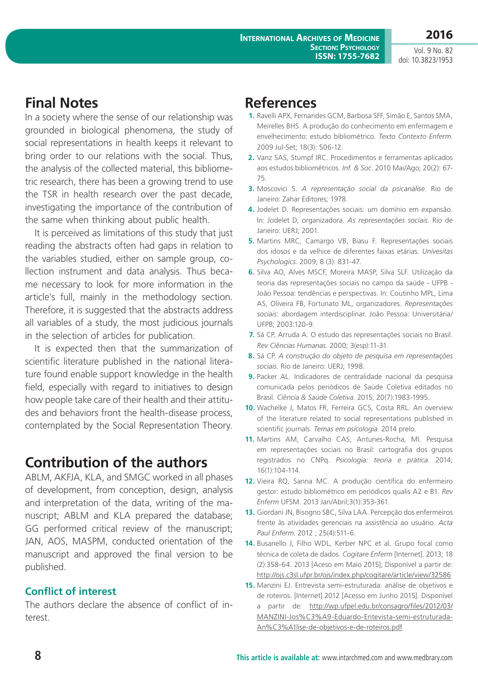**2016**

Vol. 9 No. 82 doi: 10.3823/1953

# **Final Notes**

In a society where the sense of our relationship was grounded in biological phenomena, the study of social representations in health keeps it relevant to bring order to our relations with the social. Thus, the analysis of the collected material, this bibliometric research, there has been a growing trend to use the TSR in health research over the past decade, investigating the importance of the contribution of the same when thinking about public health.

It is perceived as limitations of this study that just reading the abstracts often had gaps in relation to the variables studied, either on sample group, collection instrument and data analysis. Thus became necessary to look for more information in the article's full, mainly in the methodology section. Therefore, it is suggested that the abstracts address all variables of a study, the most judicious journals in the selection of articles for publication.

It is expected then that the summarization of scientific literature published in the national literature found enable support knowledge in the health field, especially with regard to initiatives to design how people take care of their health and their attitudes and behaviors front the health-disease process, contemplated by the Social Representation Theory.

# **Contribution of the authors**

ABLM, AKFJA, KLA, and SMGC worked in all phases of development, from conception, design, analysis and interpretation of the data, writing of the manuscript; ABLM and KLA prepared the database; GG performed critical review of the manuscript; JAN, AOS, MASPM, conducted orientation of the manuscript and approved the final version to be published.

#### **Conflict of interest**

The authors declare the absence of conflict of interest.

## **References**

- **1.** Ravelli APX, Fernandes GCM, Barbosa SFF, Simão E, Santos SMA, Meirelles BHS. A produção do conhecimento em enfermagem e envelhecimento: estudo bibliométrico. *Texto Contexto Enferm*. 2009 Jul-Set; 18(3): 506-12.
- **2.** Vanz SAS, Stumpf IRC. Procedimentos e ferramentas aplicados aos estudos bibliométricos. *Inf. & Soc*. 2010 Mai/Ago; 20(2): 67- 75.
- **3.** Moscovici S. *A representação social da psicanálise*. Rio de Janeiro: Zahar Editores; 1978.
- **4.** Jodelet D. Representações sociais: um domínio em expansão. In: Jodelet D, organizadora. *As representações sociais*. Rio de Janeiro: UERJ; 2001.
- **5.** Martins MRC, Camargo VB, Biasu F. Representações sociais dos idosos e da velhice de diferentes faixas etárias. *Univesitas Psychologics*. 2009; 8 (3): 831-47.
- **6.** Silva AO, Alves MSCF, Moreira MASP, Silva SLF. Utilização da teoria das representações sociais no campo da saúde - UFPB - João Pessoa: tendências e perspectivas. In: Coutinho MPL, Lima AS, Oliveira FB, Fortunato ML, organizadores. *Representações sociais*: abordagem interdisciplinar. João Pessoa: Universitária/ UFPB; 2003:120-9.
- **7.** Sá CP, Arruda A. O estudo das representações sociais no Brasil. *Rev Ciências Humanas*. 2000; 3(esp):11-31.
- **8.** Sá CP. *A construção do objeto de pesquisa em representações sociais.* Rio de Janeiro: UERJ; 1998.
- **9.** Packer AL. Indicadores de centralidade nacional da pesquisa comunicada pelos periódicos de Saúde Coletiva editados no Brasil. *Ciência & Saúde Coletiva*. 2015; 20(7):1983-1995.
- **10.** Wachelke J, Matos FR, Ferreira GCS, Costa RRL. An overview of the literature related to social representations published in scientific journals. *Temas em psicologia*. 2014 prelo.
- **11.** Martins AM, Carvalho CAS, Antunes-Rocha, MI. Pesquisa em representações sociais no Brasil: cartografia dos grupos registrados no CNPq. *Psicologia: teoria e prática*. 2014; 16(1):104-114.
- **12.** Vieira RQ, Sanna MC. A produção científica do enfermeiro gestor: estudo bibliométrico em periódicos qualis A2 e B1. *Rev Enferm* UFSM. 2013 Jan/Abril;3(1):353-361.
- **13.** Giordani JN, Bisogno SBC, Silva LAA. Percepção dos enfermeiros frente às atividades gerenciais na assistência ao usuário. *Acta Paul Enferm*. 2012 ; 25(4):511-6.
- **14.** Busanello J, Filho WDL, Kerber NPC et al. Grupo focal como técnica de coleta de dados. *Cogitare Enferm* [Internet]. 2013; 18 (2):358-64. 2013 [Aceso em Maio 2015]; Disponível a partir de: <http://ojs.c3sl.ufpr.br/ojs/index.php/cogitare/article/view/32586>
- **15.** Manzini EJ. Entrevista semi-estruturada: análise de objetivos e de roteiros. [Internet].2012 [Acesso em Junho 2015]. Disponível a partir de: [http://wp.ufpel.edu.br/consagro/files/2012/03/](http://wp.ufpel.edu.br/consagro/files/2012/03/MANZINI-Jos%C3%A9-Eduardo-Entevista-semi-estruturada-An%C3%A1lise-de-objetivos-e-de-roteiros.pdf) [MANZINI-Jos%C3%A9-Eduardo-Entevista-semi-estruturada-](http://wp.ufpel.edu.br/consagro/files/2012/03/MANZINI-Jos%C3%A9-Eduardo-Entevista-semi-estruturada-An%C3%A1lise-de-objetivos-e-de-roteiros.pdf)[An%C3%A1lise-de-objetivos-e-de-roteiros.pdf](http://wp.ufpel.edu.br/consagro/files/2012/03/MANZINI-Jos%C3%A9-Eduardo-Entevista-semi-estruturada-An%C3%A1lise-de-objetivos-e-de-roteiros.pdf)